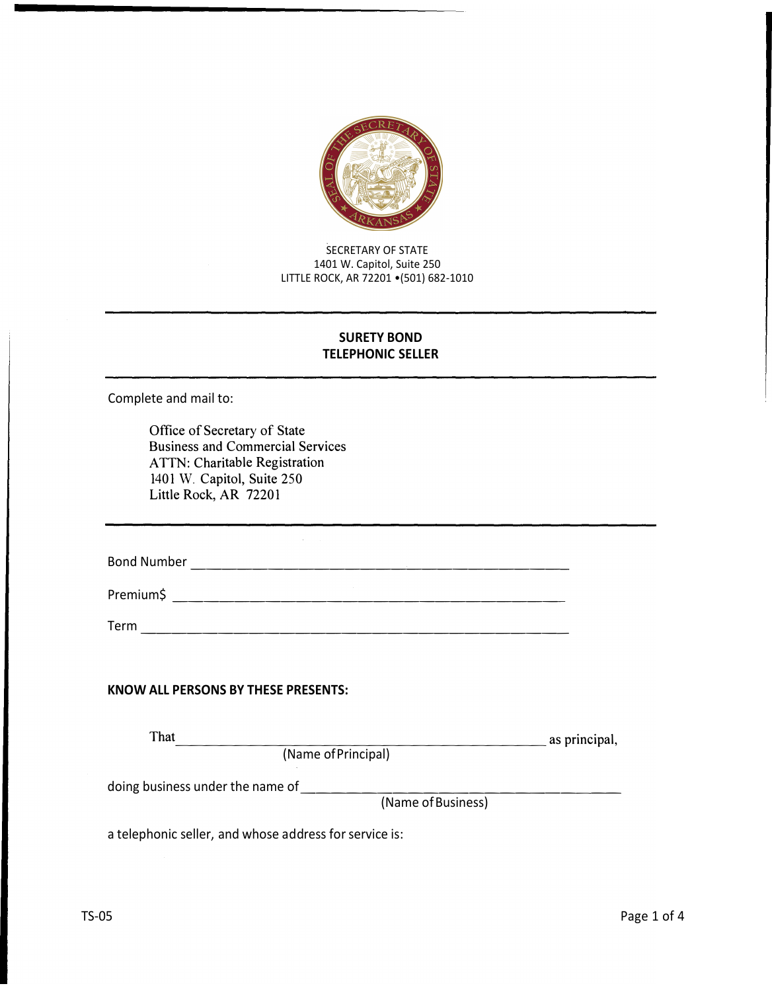

SECRETARY OF STATE 1401 W. Capitol, Suite 250 LITTLE ROCK, AR 72201 •(501) 682-1010

## **SURETY BOND TELEPHONIC SELLER**

Complete and mail to:

Office of Secretary of State Business and Commercial Services ATTN: Charitable Registration 1401 W. Capitol, Suite 250 Little Rock, AR 72201

Bond Number -------------------------

Premium\$ --------------------------

Term ----------------------------

## **KNOW ALL PERSONS BY THESE PRESENTS:**

| That |                     | as principal, |
|------|---------------------|---------------|
|      | (Name of Principal) |               |
|      |                     |               |

doing business under the name of\_\_\_\_\_\_\_\_\_\_\_\_\_\_\_\_\_\_\_\_ \_

(Name of Business)

a telephonic seller, and whose address for service is: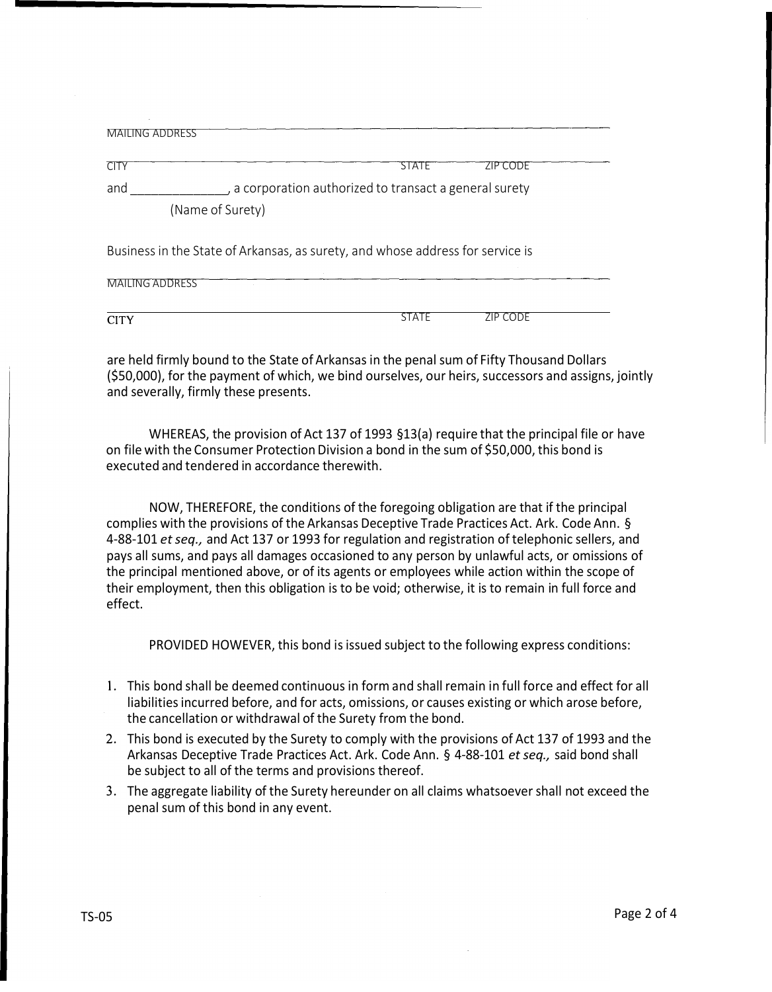| <b>MAILING ADDRESS</b>                                                                                   |                                                         |          |  |
|----------------------------------------------------------------------------------------------------------|---------------------------------------------------------|----------|--|
| <b>CITY</b>                                                                                              | SIAIE                                                   | ZIP CODE |  |
| and                                                                                                      | , a corporation authorized to transact a general surety |          |  |
| (Name of Surety)                                                                                         |                                                         |          |  |
| Business in the State of Arkansas, as surety, and whose address for service is<br><b>MAILING ADDRESS</b> |                                                         |          |  |

CITY STATE ZIP CODE

are held firmly bound to the State of Arkansas in the penal sum of Fifty Thousand Dollars (\$50,000), for the payment of which, we bind ourselves, our heirs, successors and assigns, jointly and severally, firmly these presents.

WHEREAS, the provision of Act 137 of 1993 §13(a) require that the principal file or have on file with the Consumer Protection Division a bond in the sum of \$50,000, this bond is executed and tendered in accordance therewith.

NOW, THEREFORE, the conditions of the foregoing obligation are that if the principal complies with the provisions of the Arkansas Deceptive Trade Practices Act. Ark. Code Ann. § 4-88-101 *et seq.,* and Act 137 or 1993 for regulation and registration of telephonic sellers, and pays all sums, and pays all damages occasioned to any person by unlawful acts, or omissions of the principal mentioned above, or of its agents or employees while action within the scope of their employment, then this obligation is to be void; otherwise, it is to remain in full force and effect.

PROVIDED HOWEVER, this bond is issued subject to the following express conditions:

- 1. This bond shall be deemed continuous in form and shall remain in full force and effect for all liabilities incurred before, and for acts, omissions, or causes existing or which arose before, the cancellation or withdrawal of the Surety from the bond.
- 2. This bond is executed by the Surety to comply with the provisions of Act 137 of 1993 and the Arkansas Deceptive Trade Practices Act. Ark. Code Ann. § 4-88-101 *et seq.,* said bond shall be subject to all of the terms and provisions thereof.
- 3. The aggregate liability of the Surety hereunder on all claims whatsoever shall not exceed the penal sum of this bond in any event.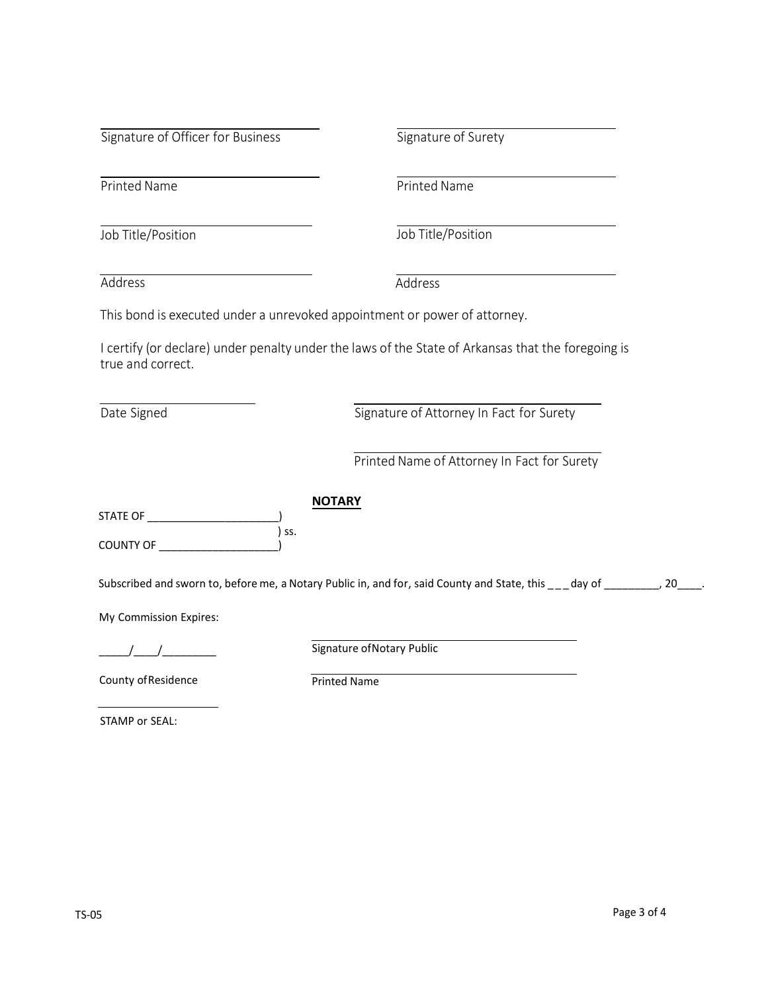| Signature of Officer for Business |
|-----------------------------------|
|-----------------------------------|

s Signature of Surety

Printed Name **Printed Name** 

Job Title/Position Job Title/Position

Address Address

This bond is executed under a unrevoked appointment or power of attorney.

I certify (or declare) under penalty under the laws of the State of Arkansas that the foregoing is true and correct.

Date Signed **Signature of Attorney In Fact for Surety** 

Printed Name of Attorney In Fact for Surety

| STATE OF         |       |
|------------------|-------|
|                  | ) ss. |
| <b>COUNTY OF</b> |       |

Subscribed and sworn to, before me, a Notary Public in, and for, said County and State, this \_\_\_day of \_\_\_\_\_\_\_, 20\_\_\_\_.

My Commission Expires:

\_\_\_\_\_/\_\_\_\_/\_\_\_\_\_\_\_\_\_

Signature of Notary Public

County of Residence

Printed Name

**NOTARY** 

STAMP or SEAL: